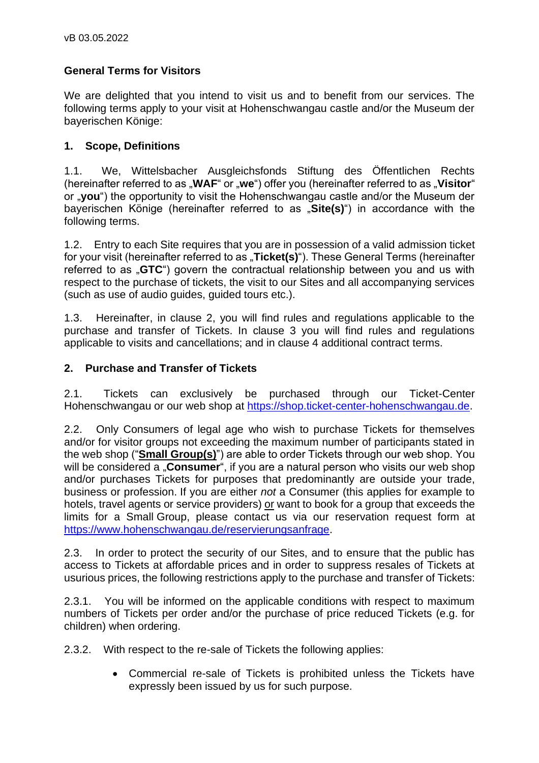# **General Terms for Visitors**

We are delighted that you intend to visit us and to benefit from our services. The following terms apply to your visit at Hohenschwangau castle and/or the Museum der bayerischen Könige:

### **1. Scope, Definitions**

1.1. We, Wittelsbacher Ausgleichsfonds Stiftung des Öffentlichen Rechts (hereinafter referred to as "**WAF**" or "we") offer you (hereinafter referred to as "Visitor" or "**you**") the opportunity to visit the Hohenschwangau castle and/or the Museum der bayerischen Könige (hereinafter referred to as "**Site(s)**") in accordance with the following terms.

1.2. Entry to each Site requires that you are in possession of a valid admission ticket for your visit (hereinafter referred to as "**Ticket(s)**"). These General Terms (hereinafter referred to as "GTC") govern the contractual relationship between you and us with respect to the purchase of tickets, the visit to our Sites and all accompanying services (such as use of audio guides, guided tours etc.).

1.3. Hereinafter, in clause 2, you will find rules and regulations applicable to the purchase and transfer of Tickets. In clause 3 you will find rules and regulations applicable to visits and cancellations; and in clause 4 additional contract terms.

### **2. Purchase and Transfer of Tickets**

2.1. Tickets can exclusively be purchased through our Ticket-Center Hohenschwangau or our web shop at [https://shop.ticket-center-hohenschwangau.de.](https://shop.ticket-center-hohenschwangau.de/)

2.2. Only Consumers of legal age who wish to purchase Tickets for themselves and/or for visitor groups not exceeding the maximum number of participants stated in the web shop ("**Small Group(s)**") are able to order Tickets through our web shop. You will be considered a "**Consumer**", if you are a natural person who visits our web shop and/or purchases Tickets for purposes that predominantly are outside your trade, business or profession. If you are either *not* a Consumer (this applies for example to hotels, travel agents or service providers) or want to book for a group that exceeds the limits for a Small Group, please contact us via our reservation request form at [https://www.hohenschwangau.de/reservierungsanfrage.](https://www.hohenschwangau.de/reservierungsanfrage)

2.3. In order to protect the security of our Sites, and to ensure that the public has access to Tickets at affordable prices and in order to suppress resales of Tickets at usurious prices, the following restrictions apply to the purchase and transfer of Tickets:

2.3.1. You will be informed on the applicable conditions with respect to maximum numbers of Tickets per order and/or the purchase of price reduced Tickets (e.g. for children) when ordering.

2.3.2. With respect to the re-sale of Tickets the following applies:

• Commercial re-sale of Tickets is prohibited unless the Tickets have expressly been issued by us for such purpose.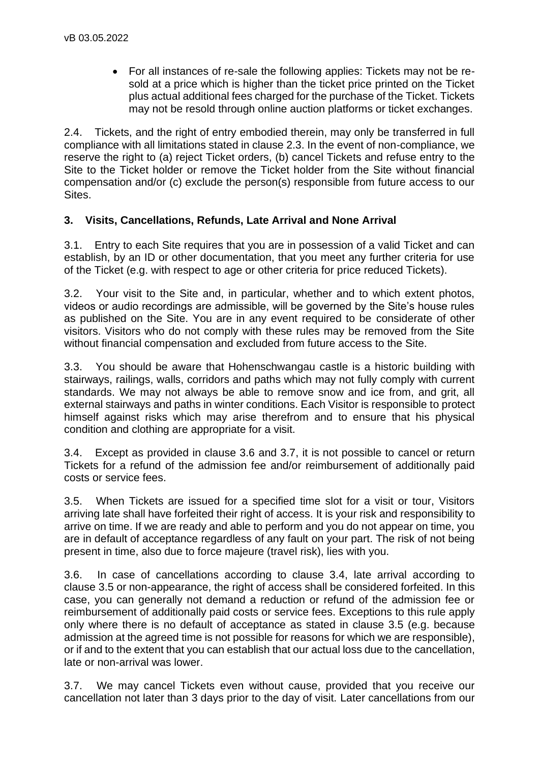• For all instances of re-sale the following applies: Tickets may not be resold at a price which is higher than the ticket price printed on the Ticket plus actual additional fees charged for the purchase of the Ticket. Tickets may not be resold through online auction platforms or ticket exchanges.

2.4. Tickets, and the right of entry embodied therein, may only be transferred in full compliance with all limitations stated in clause 2.3. In the event of non-compliance, we reserve the right to (a) reject Ticket orders, (b) cancel Tickets and refuse entry to the Site to the Ticket holder or remove the Ticket holder from the Site without financial compensation and/or (c) exclude the person(s) responsible from future access to our Sites.

# **3. Visits, Cancellations, Refunds, Late Arrival and None Arrival**

3.1. Entry to each Site requires that you are in possession of a valid Ticket and can establish, by an ID or other documentation, that you meet any further criteria for use of the Ticket (e.g. with respect to age or other criteria for price reduced Tickets).

3.2. Your visit to the Site and, in particular, whether and to which extent photos, videos or audio recordings are admissible, will be governed by the Site's house rules as published on the Site. You are in any event required to be considerate of other visitors. Visitors who do not comply with these rules may be removed from the Site without financial compensation and excluded from future access to the Site.

3.3. You should be aware that Hohenschwangau castle is a historic building with stairways, railings, walls, corridors and paths which may not fully comply with current standards. We may not always be able to remove snow and ice from, and grit, all external stairways and paths in winter conditions. Each Visitor is responsible to protect himself against risks which may arise therefrom and to ensure that his physical condition and clothing are appropriate for a visit.

3.4. Except as provided in clause 3.6 and 3.7, it is not possible to cancel or return Tickets for a refund of the admission fee and/or reimbursement of additionally paid costs or service fees.

3.5. When Tickets are issued for a specified time slot for a visit or tour, Visitors arriving late shall have forfeited their right of access. It is your risk and responsibility to arrive on time. If we are ready and able to perform and you do not appear on time, you are in default of acceptance regardless of any fault on your part. The risk of not being present in time, also due to force majeure (travel risk), lies with you.

3.6. In case of cancellations according to clause 3.4, late arrival according to clause 3.5 or non-appearance, the right of access shall be considered forfeited. In this case, you can generally not demand a reduction or refund of the admission fee or reimbursement of additionally paid costs or service fees. Exceptions to this rule apply only where there is no default of acceptance as stated in clause 3.5 (e.g. because admission at the agreed time is not possible for reasons for which we are responsible), or if and to the extent that you can establish that our actual loss due to the cancellation, late or non-arrival was lower.

3.7. We may cancel Tickets even without cause, provided that you receive our cancellation not later than 3 days prior to the day of visit. Later cancellations from our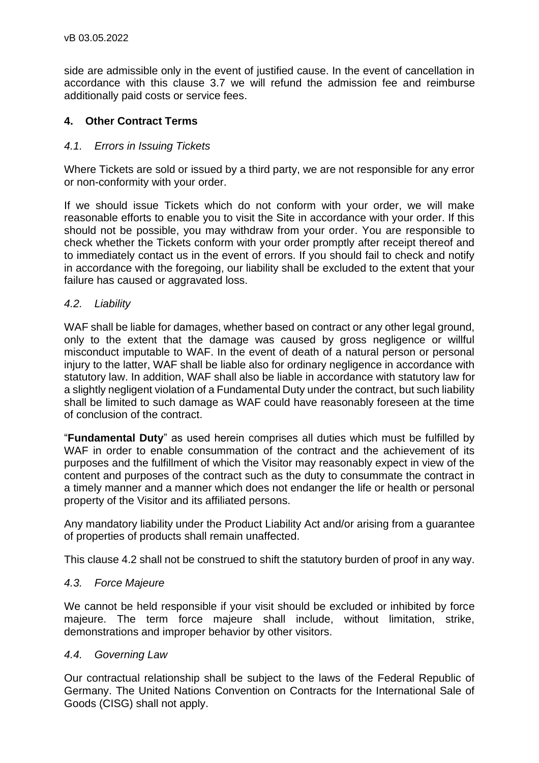side are admissible only in the event of justified cause. In the event of cancellation in accordance with this clause 3.7 we will refund the admission fee and reimburse additionally paid costs or service fees.

# **4. Other Contract Terms**

# *4.1. Errors in Issuing Tickets*

Where Tickets are sold or issued by a third party, we are not responsible for any error or non-conformity with your order.

If we should issue Tickets which do not conform with your order, we will make reasonable efforts to enable you to visit the Site in accordance with your order. If this should not be possible, you may withdraw from your order. You are responsible to check whether the Tickets conform with your order promptly after receipt thereof and to immediately contact us in the event of errors. If you should fail to check and notify in accordance with the foregoing, our liability shall be excluded to the extent that your failure has caused or aggravated loss.

### *4.2. Liability*

WAF shall be liable for damages, whether based on contract or any other legal ground, only to the extent that the damage was caused by gross negligence or willful misconduct imputable to WAF. In the event of death of a natural person or personal injury to the latter, WAF shall be liable also for ordinary negligence in accordance with statutory law. In addition, WAF shall also be liable in accordance with statutory law for a slightly negligent violation of a Fundamental Duty under the contract, but such liability shall be limited to such damage as WAF could have reasonably foreseen at the time of conclusion of the contract.

"**Fundamental Duty**" as used herein comprises all duties which must be fulfilled by WAF in order to enable consummation of the contract and the achievement of its purposes and the fulfillment of which the Visitor may reasonably expect in view of the content and purposes of the contract such as the duty to consummate the contract in a timely manner and a manner which does not endanger the life or health or personal property of the Visitor and its affiliated persons.

Any mandatory liability under the Product Liability Act and/or arising from a guarantee of properties of products shall remain unaffected.

This clause 4.2 shall not be construed to shift the statutory burden of proof in any way.

### *4.3. Force Majeure*

We cannot be held responsible if your visit should be excluded or inhibited by force majeure. The term force majeure shall include, without limitation, strike, demonstrations and improper behavior by other visitors.

#### *4.4. Governing Law*

Our contractual relationship shall be subject to the laws of the Federal Republic of Germany. The United Nations Convention on Contracts for the International Sale of Goods (CISG) shall not apply.